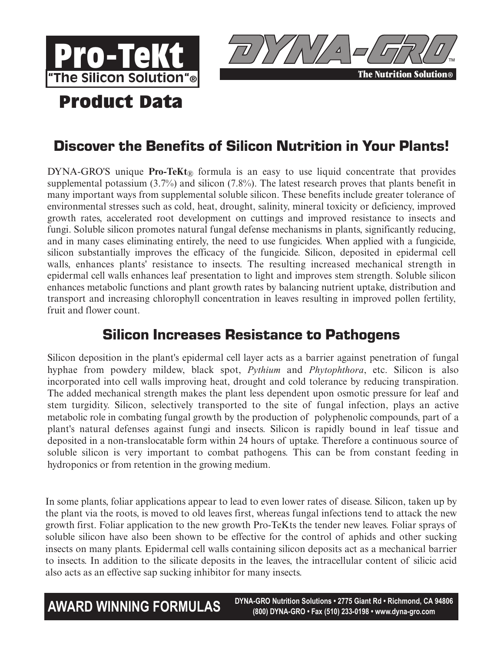



# **Product Data**

## Discover the Benefits of Silicon Nutrition in Your Plants!

DYNA-GRO'S unique **Pro-TeKt**<sup>®</sup> formula is an easy to use liquid concentrate that provides supplemental potassium (3.7%) and silicon (7.8%). The latest research proves that plants benefit in many important ways from supplemental soluble silicon. These benefits include greater tolerance of environmental stresses such as cold, heat, drought, salinity, mineral toxicity or deficiency, improved growth rates, accelerated root development on cuttings and improved resistance to insects and fungi. Soluble silicon promotes natural fungal defense mechanisms in plants, significantly reducing, and in many cases eliminating entirely, the need to use fungicides. When applied with a fungicide, silicon substantially improves the efficacy of the fungicide. Silicon, deposited in epidermal cell walls, enhances plants' resistance to insects. The resulting increased mechanical strength in epidermal cell walls enhances leaf presentation to light and improves stem strength. Soluble silicon enhances metabolic functions and plant growth rates by balancing nutrient uptake, distribution and transport and increasing chlorophyll concentration in leaves resulting in improved pollen fertility, fruit and flower count.

### Silicon Increases Resistance to Pathogens

Silicon deposition in the plant's epidermal cell layer acts as a barrier against penetration of fungal hyphae from powdery mildew, black spot, *Pythium* and *Phytophthora*, etc. Silicon is also incorporated into cell walls improving heat, drought and cold tolerance by reducing transpiration. The added mechanical strength makes the plant less dependent upon osmotic pressure for leaf and stem turgidity. Silicon, selectively transported to the site of fungal infection, plays an active metabolic role in combating fungal growth by the production of polyphenolic compounds, part of a plant's natural defenses against fungi and insects. Silicon is rapidly bound in leaf tissue and deposited in a non-translocatable form within 24 hours of uptake. Therefore a continuous source of soluble silicon is very important to combat pathogens. This can be from constant feeding in hydroponics or from retention in the growing medium.

In some plants, foliar applications appear to lead to even lower rates of disease. Silicon, taken up by the plant via the roots, is moved to old leaves first, whereas fungal infections tend to attack the new growth first. Foliar application to the new growth Pro-TeKts the tender new leaves. Foliar sprays of soluble silicon have also been shown to be effective for the control of aphids and other sucking insects on many plants. Epidermal cell walls containing silicon deposits act as a mechanical barrier to insects. In addition to the silicate deposits in the leaves, the intracellular content of silicic acid also acts as an effective sap sucking inhibitor for many insects.

**AWARD WINNING FORMULAS** DYNA-GRO Nutrition Solutions • 2775 Giant Rd • Richmond, CA 94806 **(800) DYNA-GRO • Fax (510) 233-0198 • www.dyna-gro.com**